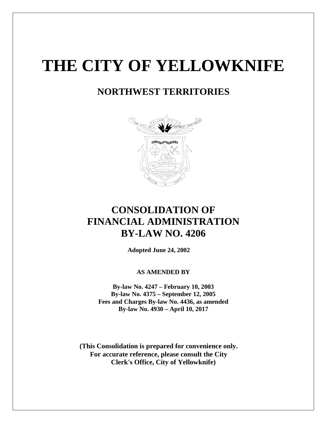# **THE CITY OF YELLOWKNIFE**

# **NORTHWEST TERRITORIES**



# **CONSOLIDATION OF FINANCIAL ADMINISTRATION BY-LAW NO. 4206**

**Adopted June 24, 2002**

# **AS AMENDED BY**

**By-law No. 4247 – February 10, 2003 By-law No. 4375 – September 12, 2005 Fees and Charges By-law No. 4436, as amended By-law No. 4930 – April 10, 2017**

**(This Consolidation is prepared for convenience only. For accurate reference, please consult the City Clerk's Office, City of Yellowknife)**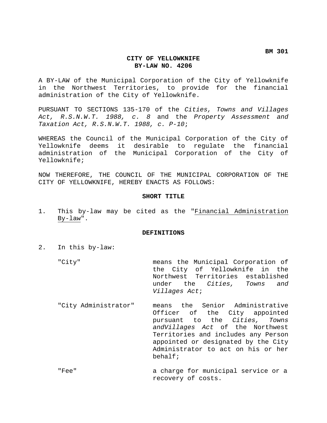**BM 301**

# **CITY OF YELLOWKNIFE BY-LAW NO. 4206**

A BY-LAW of the Municipal Corporation of the City of Yellowknife in the Northwest Territories, to provide for the financial administration of the City of Yellowknife.

PURSUANT TO SECTIONS 135-170 of the *Cities, Towns and Villages Act, R.S.N.W.T. 1988, c. 8* and the *Property Assessment and Taxation Act, R.S.N.W.T. 1988, c. P-10*;

WHEREAS the Council of the Municipal Corporation of the City of Yellowknife deems it desirable to regulate the financial administration of the Municipal Corporation of the City of Yellowknife;

NOW THEREFORE, THE COUNCIL OF THE MUNICIPAL CORPORATION OF THE CITY OF YELLOWKNIFE, HEREBY ENACTS AS FOLLOWS:

# **SHORT TITLE**

1. This by-law may be cited as the "Financial Administration By-law".

## **DEFINITIONS**

2. In this by-law:

- "City" means the Municipal Corporation of the City of Yellowknife in the Northwest Territories established under the *Cities, Towns and Villages Act*;
- "City Administrator" means the Senior Administrative Officer of the City appointed pursuant to the *Cities, Towns andVillages Act* of the Northwest Territories and includes any Person appointed or designated by the City Administrator to act on his or her behalf;
- "Fee" a charge for municipal service or a recovery of costs.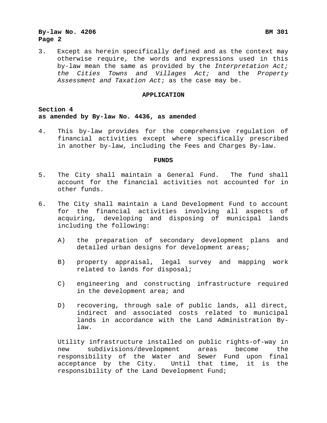3. Except as herein specifically defined and as the context may otherwise require, the words and expressions used in this by-law mean the same as provided by the *Interpretation Act; the Cities Towns and Villages Act;* and the *Property Assessment and Taxation Act*; as the case may be.

#### **APPLICATION**

**Section 4 as amended by By-law No. 4436, as amended**

4. This by-law provides for the comprehensive regulation of financial activities except where specifically prescribed in another by-law, including the Fees and Charges By-law.

# **FUNDS**

- 5. The City shall maintain a General Fund. The fund shall account for the financial activities not accounted for in other funds.
- 6. The City shall maintain a Land Development Fund to account for the financial activities involving all aspects acquiring, developing and disposing of municipal lands including the following:
	- A) the preparation of secondary development plans and detailed urban designs for development areas;
	- B) property appraisal, legal survey and mapping work related to lands for disposal;
	- C) engineering and constructing infrastructure required in the development area; and
	- D) recovering, through sale of public lands, all direct, indirect and associated costs related to municipal lands in accordance with the Land Administration Bylaw.

Utility infrastructure installed on public rights-of-way in new subdivisions/development areas become the responsibility of the Water and Sewer Fund upon final acceptance by the City. Until that time, it is the responsibility of the Land Development Fund;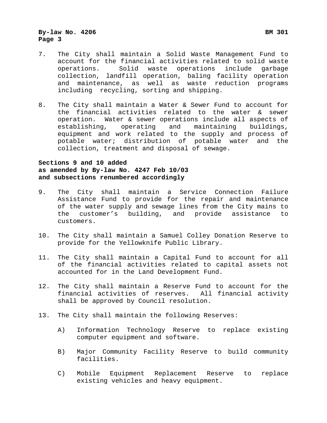- 7. The City shall maintain a Solid Waste Management Fund to account for the financial activities related to solid waste<br>operations. Solid waste operations include garbage Solid waste operations include garbage collection, landfill operation, baling facility operation and maintenance, as well as waste reduction programs including recycling, sorting and shipping.
- 8. The City shall maintain a Water & Sewer Fund to account for the financial activities related to the water & sewer operation. Water & sewer operations include all aspects of<br>establishing, operating and maintaining buildings, establishing, equipment and work related to the supply and process of potable water; distribution of potable water and the collection, treatment and disposal of sewage.

# **Sections 9 and 10 added as amended by By-law No. 4247 Feb 10/03 and subsections renumbered accordingly**

- 9. The City shall maintain a Service Connection Failure Assistance Fund to provide for the repair and maintenance of the water supply and sewage lines from the City mains to<br>the customer's building, and provide assistance to customer's building, and provide assistance customers.
- 10. The City shall maintain a Samuel Colley Donation Reserve to provide for the Yellowknife Public Library.
- 11. The City shall maintain a Capital Fund to account for all of the financial activities related to capital assets not accounted for in the Land Development Fund.
- 12. The City shall maintain a Reserve Fund to account for the financial activities of reserves. All financial activity shall be approved by Council resolution.
- 13. The City shall maintain the following Reserves:
	- A) Information Technology Reserve to replace existing computer equipment and software.
	- B) Major Community Facility Reserve to build community facilities.
	- C) Mobile Equipment Replacement Reserve to replace existing vehicles and heavy equipment.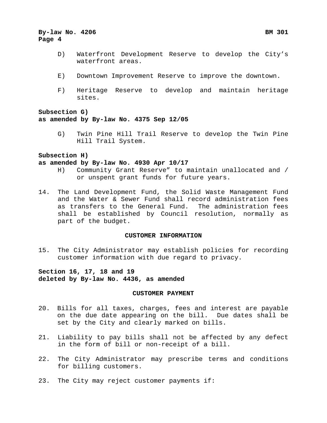- D) Waterfront Development Reserve to develop the City's waterfront areas.
- E) Downtown Improvement Reserve to improve the downtown.
- F) Heritage Reserve to develop and maintain heritage sites.

# **Subsection G) as amended by By-law No. 4375 Sep 12/05**

G) Twin Pine Hill Trail Reserve to develop the Twin Pine Hill Trail System.

# **Subsection H)**

#### **as amended by By-law No. 4930 Apr 10/17**

- H) Community Grant Reserve" to maintain unallocated and / or unspent grant funds for future years.
- 14. The Land Development Fund, the Solid Waste Management Fund and the Water & Sewer Fund shall record administration fees as transfers to the General Fund. The administration fees shall be established by Council resolution, normally as part of the budget.

# **CUSTOMER INFORMATION**

15. The City Administrator may establish policies for recording customer information with due regard to privacy.

# **Section 16, 17, 18 and 19 deleted by By-law No. 4436, as amended**

# **CUSTOMER PAYMENT**

- 20. Bills for all taxes, charges, fees and interest are payable on the due date appearing on the bill. Due dates shall be set by the City and clearly marked on bills.
- 21. Liability to pay bills shall not be affected by any defect in the form of bill or non-receipt of a bill.
- 22. The City Administrator may prescribe terms and conditions for billing customers.
- 23. The City may reject customer payments if: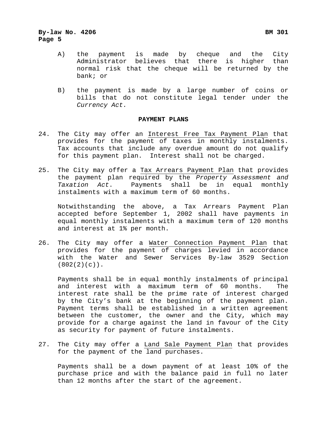- A) the payment is made by cheque and the City Administrator believes that there is higher than normal risk that the cheque will be returned by the bank; or
- B) the payment is made by a large number of coins or bills that do not constitute legal tender under the *Currency Act.*

# **PAYMENT PLANS**

- 24. The City may offer an Interest Free Tax Payment Plan that provides for the payment of taxes in monthly instalments. Tax accounts that include any overdue amount do not qualify for this payment plan. Interest shall not be charged.
- 25. The City may offer a Tax Arrears Payment Plan that provides the payment plan required by the *Property Assessment and*  Taxation Act. Payments shall be in equal instalments with a maximum term of 60 months.

Notwithstanding the above, a Tax Arrears Payment Plan accepted before September 1, 2002 shall have payments in equal monthly instalments with a maximum term of 120 months and interest at 1% per month.

26. The City may offer a Water Connection Payment Plan that provides for the payment of charges levied in accordance with the Water and Sewer Services By-law 3529 Section (802(2)(c)).

Payments shall be in equal monthly instalments of principal and interest with a maximum term of 60 months. The interest rate shall be the prime rate of interest charged by the City's bank at the beginning of the payment plan. Payment terms shall be established in a written agreement between the customer, the owner and the City, which may provide for a charge against the land in favour of the City as security for payment of future instalments.

27. The City may offer a Land Sale Payment Plan that provides for the payment of the land purchases.

Payments shall be a down payment of at least 10% of the purchase price and with the balance paid in full no later than 12 months after the start of the agreement.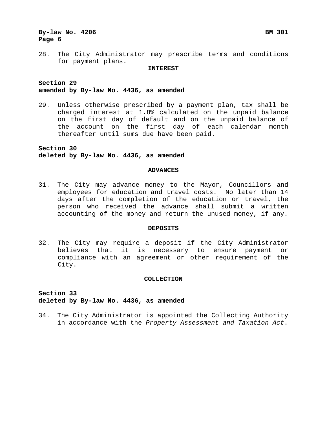28. The City Administrator may prescribe terms and conditions for payment plans.

#### **INTEREST**

# **Section 29 amended by By-law No. 4436, as amended**

29. Unless otherwise prescribed by a payment plan, tax shall be charged interest at 1.8% calculated on the unpaid balance on the first day of default and on the unpaid balance of the account on the first day of each calendar month thereafter until sums due have been paid.

**Section 30 deleted by By-law No. 4436, as amended**

#### **ADVANCES**

31. The City may advance money to the Mayor, Councillors and employees for education and travel costs. No later than 14 days after the completion of the education or travel, the person who received the advance shall submit a written accounting of the money and return the unused money, if any.

#### **DEPOSITS**

32. The City may require a deposit if the City Administrator believes that it is necessary to ensure payment or compliance with an agreement or other requirement of the City.

#### **COLLECTION**

**Section 33 deleted by By-law No. 4436, as amended**

34. The City Administrator is appointed the Collecting Authority in accordance with the *Property Assessment and Taxation Act*.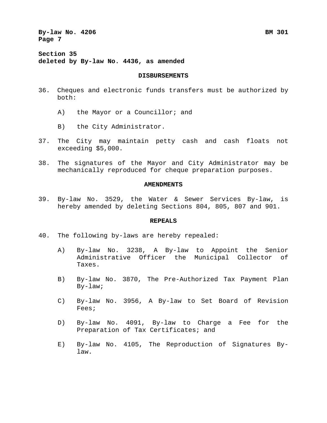**Section 35 deleted by By-law No. 4436, as amended**

#### **DISBURSEMENTS**

- 36. Cheques and electronic funds transfers must be authorized by both:
	- A) the Mayor or a Councillor; and
	- B) the City Administrator.
- 37. The City may maintain petty cash and cash floats not exceeding \$5,000.
- 38. The signatures of the Mayor and City Administrator may be mechanically reproduced for cheque preparation purposes.

#### **AMENDMENTS**

39. By-law No. 3529, the Water & Sewer Services By-law, is hereby amended by deleting Sections 804, 805, 807 and 901.

## **REPEALS**

- 40. The following by-laws are hereby repealed:
	- A) By-law No. 3238, A By-law to Appoint the Senior Administrative Officer the Municipal Collector of Taxes.
	- B) By-law No. 3870, The Pre-Authorized Tax Payment Plan By-law;
	- C) By-law No. 3956, A By-law to Set Board of Revision Fees;
	- D) By-law No. 4091, By-law to Charge a Fee for the Preparation of Tax Certificates; and
	- E) By-law No. 4105, The Reproduction of Signatures Bylaw.